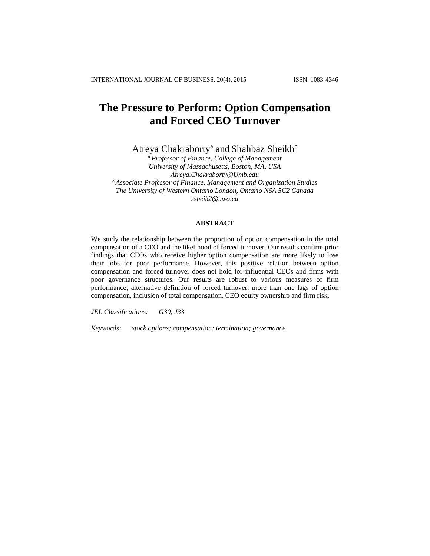# **The Pressure to Perform: Option Compensation and Forced CEO Turnover**

Atreya Chakraborty<sup>a</sup> and Shahbaz Sheikh<sup>b</sup>

*<sup>a</sup>Professor of Finance, College of Management University of Massachusetts, Boston, MA, USA Atreya.Chakraborty@Umb.edu <sup>b</sup> Associate Professor of Finance, Management and Organization Studies The University of Western Ontario London, Ontario N6A 5C2 Canada ssheik2@uwo.ca*

## **ABSTRACT**

We study the relationship between the proportion of option compensation in the total compensation of a CEO and the likelihood of forced turnover. Our results confirm prior findings that CEOs who receive higher option compensation are more likely to lose their jobs for poor performance. However, this positive relation between option compensation and forced turnover does not hold for influential CEOs and firms with poor governance structures. Our results are robust to various measures of firm performance, alternative definition of forced turnover, more than one lags of option compensation, inclusion of total compensation, CEO equity ownership and firm risk.

*JEL Classifications: G30, J33*

*Keywords: stock options; compensation; termination; governance*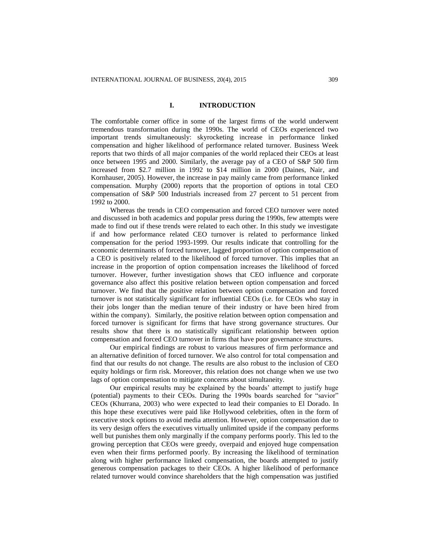# **I. INTRODUCTION**

The comfortable corner office in some of the largest firms of the world underwent tremendous transformation during the 1990s. The world of CEOs experienced two important trends simultaneously: skyrocketing increase in performance linked compensation and higher likelihood of performance related turnover. Business Week reports that two thirds of all major companies of the world replaced their CEOs at least once between 1995 and 2000. Similarly, the average pay of a CEO of S&P 500 firm increased from \$2.7 million in 1992 to \$14 million in 2000 (Daines, Nair, and Kornhauser, 2005). However, the increase in pay mainly came from performance linked compensation. Murphy (2000) reports that the proportion of options in total CEO compensation of S&P 500 Industrials increased from 27 percent to 51 percent from 1992 to 2000.

Whereas the trends in CEO compensation and forced CEO turnover were noted and discussed in both academics and popular press during the 1990s, few attempts were made to find out if these trends were related to each other. In this study we investigate if and how performance related CEO turnover is related to performance linked compensation for the period 1993-1999. Our results indicate that controlling for the economic determinants of forced turnover, lagged proportion of option compensation of a CEO is positively related to the likelihood of forced turnover. This implies that an increase in the proportion of option compensation increases the likelihood of forced turnover. However, further investigation shows that CEO influence and corporate governance also affect this positive relation between option compensation and forced turnover. We find that the positive relation between option compensation and forced turnover is not statistically significant for influential CEOs (i.e. for CEOs who stay in their jobs longer than the median tenure of their industry or have been hired from within the company). Similarly, the positive relation between option compensation and forced turnover is significant for firms that have strong governance structures. Our results show that there is no statistically significant relationship between option compensation and forced CEO turnover in firms that have poor governance structures.

Our empirical findings are robust to various measures of firm performance and an alternative definition of forced turnover. We also control for total compensation and find that our results do not change. The results are also robust to the inclusion of CEO equity holdings or firm risk. Moreover, this relation does not change when we use two lags of option compensation to mitigate concerns about simultaneity.

Our empirical results may be explained by the boards' attempt to justify huge (potential) payments to their CEOs. During the 1990s boards searched for "savior" CEOs (Khurrana, 2003) who were expected to lead their companies to El Dorado. In this hope these executives were paid like Hollywood celebrities, often in the form of executive stock options to avoid media attention. However, option compensation due to its very design offers the executives virtually unlimited upside if the company performs well but punishes them only marginally if the company performs poorly. This led to the growing perception that CEOs were greedy, overpaid and enjoyed huge compensation even when their firms performed poorly. By increasing the likelihood of termination along with higher performance linked compensation, the boards attempted to justify generous compensation packages to their CEOs. A higher likelihood of performance related turnover would convince shareholders that the high compensation was justified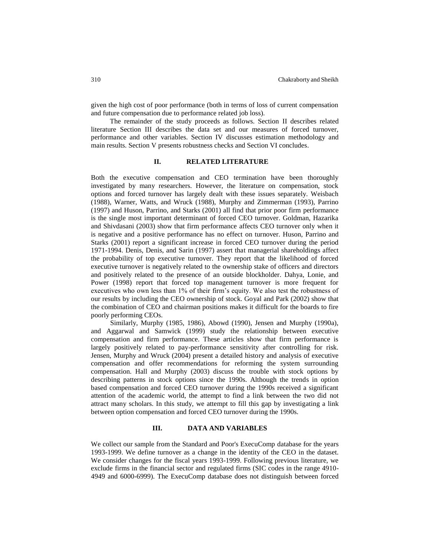given the high cost of poor performance (both in terms of loss of current compensation and future compensation due to performance related job loss).

The remainder of the study proceeds as follows. Section II describes related literature Section III describes the data set and our measures of forced turnover, performance and other variables. Section IV discusses estimation methodology and main results. Section V presents robustness checks and Section VI concludes.

# **II. RELATED LITERATURE**

Both the executive compensation and CEO termination have been thoroughly investigated by many researchers. However, the literature on compensation, stock options and forced turnover has largely dealt with these issues separately. Weisbach (1988), Warner, Watts, and Wruck (1988), Murphy and Zimmerman (1993), Parrino (1997) and Huson, Parrino, and Starks (2001) all find that prior poor firm performance is the single most important determinant of forced CEO turnover. Goldman, Hazarika and Shivdasani (2003) show that firm performance affects CEO turnover only when it is negative and a positive performance has no effect on turnover. Huson, Parrino and Starks (2001) report a significant increase in forced CEO turnover during the period 1971-1994. Denis, Denis, and Sarin (1997) assert that managerial shareholdings affect the probability of top executive turnover. They report that the likelihood of forced executive turnover is negatively related to the ownership stake of officers and directors and positively related to the presence of an outside blockholder. Dahya, Lonie, and Power (1998) report that forced top management turnover is more frequent for executives who own less than 1% of their firm's equity. We also test the robustness of our results by including the CEO ownership of stock. Goyal and Park (2002) show that the combination of CEO and chairman positions makes it difficult for the boards to fire poorly performing CEOs.

Similarly, Murphy (1985, 1986), Abowd (1990), Jensen and Murphy (1990a), and Aggarwal and Samwick (1999) study the relationship between executive compensation and firm performance. These articles show that firm performance is largely positively related to pay-performance sensitivity after controlling for risk. Jensen, Murphy and Wruck (2004) present a detailed history and analysis of executive compensation and offer recommendations for reforming the system surrounding compensation. Hall and Murphy (2003) discuss the trouble with stock options by describing patterns in stock options since the 1990s. Although the trends in option based compensation and forced CEO turnover during the 1990s received a significant attention of the academic world, the attempt to find a link between the two did not attract many scholars. In this study, we attempt to fill this gap by investigating a link between option compensation and forced CEO turnover during the 1990s.

# **III. DATA AND VARIABLES**

We collect our sample from the Standard and Poor's ExecuComp database for the years 1993-1999. We define turnover as a change in the identity of the CEO in the dataset. We consider changes for the fiscal years 1993-1999. Following previous literature, we exclude firms in the financial sector and regulated firms (SIC codes in the range 4910- 4949 and 6000-6999). The ExecuComp database does not distinguish between forced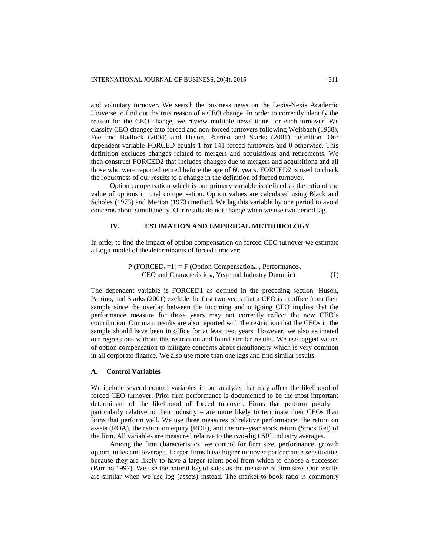and voluntary turnover. We search the business news on the Lexis-Nexis Academic Universe to find out the true reason of a CEO change. In order to correctly identify the reason for the CEO change, we review multiple news items for each turnover. We classify CEO changes into forced and non-forced turnovers following Weisbach (1988), Fee and Hadlock (2004) and Huson, Parrino and Starks (2001) definition. Our dependent variable FORCED equals 1 for 141 forced turnovers and 0 otherwise. This definition excludes changes related to mergers and acquisitions and retirements. We then construct FORCED2 that includes changes due to mergers and acquisitions and all those who were reported retired before the age of 60 years. FORCED2 is used to check the robustness of our results to a change in the definition of forced turnover.

Option compensation which is our primary variable is defined as the ratio of the value of options in total compensation. Option values are calculated using Black and Scholes (1973) and Merton (1973) method. We lag this variable by one period to avoid concerns about simultaneity. Our results do not change when we use two period lag.

## **IV. ESTIMATION AND EMPIRICAL METHODOLOGY**

In order to find the impact of option compensation on forced CEO turnover we estimate a Logit model of the determinants of forced turnover:

$$
P (FORCEDt = 1) = F (Option Comparisont-1, Performancet,CEO and Characteristicst, Year and Industry Dummie)
$$
 (1)

The dependent variable is FORCED1 as defined in the preceding section. Huson, Parrino, and Starks (2001) exclude the first two years that a CEO is in office from their sample since the overlap between the incoming and outgoing CEO implies that the performance measure for those years may not correctly reflect the new CEO's contribution. Our main results are also reported with the restriction that the CEOs in the sample should have been in office for at least two years. However, we also estimated our regressions without this restriction and found similar results. We use lagged values of option compensation to mitigate concerns about simultaneity which is very common in all corporate finance. We also use more than one lags and find similar results.

# **A. Control Variables**

We include several control variables in our analysis that may affect the likelihood of forced CEO turnover. Prior firm performance is documented to be the most important determinant of the likelihood of forced turnover. Firms that perform poorly – particularly relative to their industry – are more likely to terminate their CEOs than firms that perform well. We use three measures of relative performance: the return on assets (ROA), the return on equity (ROE), and the one-year stock return (Stock Ret) of the firm. All variables are measured relative to the two-digit SIC industry averages.

Among the firm characteristics, we control for firm size, performance, growth opportunities and leverage. Larger firms have higher turnover-performance sensitivities because they are likely to have a larger talent pool from which to choose a successor (Parrino 1997). We use the natural log of sales as the measure of firm size. Our results are similar when we use log (assets) instead. The market-to-book ratio is commonly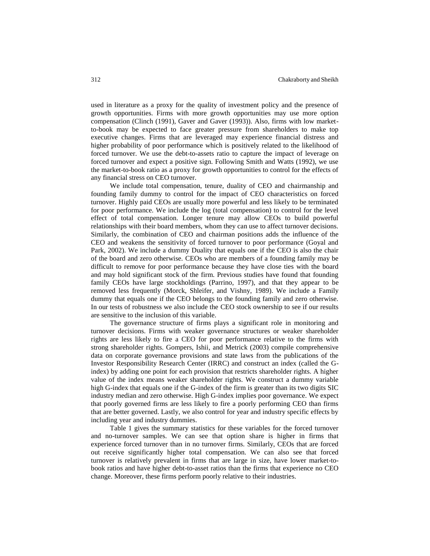used in literature as a proxy for the quality of investment policy and the presence of growth opportunities. Firms with more growth opportunities may use more option compensation (Clinch (1991), Gaver and Gaver (1993)). Also, firms with low marketto-book may be expected to face greater pressure from shareholders to make top executive changes. Firms that are leveraged may experience financial distress and higher probability of poor performance which is positively related to the likelihood of forced turnover. We use the debt-to-assets ratio to capture the impact of leverage on forced turnover and expect a positive sign. Following Smith and Watts (1992), we use the market-to-book ratio as a proxy for growth opportunities to control for the effects of any financial stress on CEO turnover.

We include total compensation, tenure, duality of CEO and chairmanship and founding family dummy to control for the impact of CEO characteristics on forced turnover. Highly paid CEOs are usually more powerful and less likely to be terminated for poor performance. We include the log (total compensation) to control for the level effect of total compensation. Longer tenure may allow CEOs to build powerful relationships with their board members, whom they can use to affect turnover decisions. Similarly, the combination of CEO and chairman positions adds the influence of the CEO and weakens the sensitivity of forced turnover to poor performance (Goyal and Park, 2002). We include a dummy Duality that equals one if the CEO is also the chair of the board and zero otherwise. CEOs who are members of a founding family may be difficult to remove for poor performance because they have close ties with the board and may hold significant stock of the firm. Previous studies have found that founding family CEOs have large stockholdings (Parrino, 1997), and that they appear to be removed less frequently (Morck, Shleifer, and Vishny, 1989). We include a Family dummy that equals one if the CEO belongs to the founding family and zero otherwise. In our tests of robustness we also include the CEO stock ownership to see if our results are sensitive to the inclusion of this variable.

The governance structure of firms plays a significant role in monitoring and turnover decisions. Firms with weaker governance structures or weaker shareholder rights are less likely to fire a CEO for poor performance relative to the firms with strong shareholder rights. Gompers, Ishii, and Metrick (2003) compile comprehensive data on corporate governance provisions and state laws from the publications of the Investor Responsibility Research Center (IRRC) and construct an index (called the Gindex) by adding one point for each provision that restricts shareholder rights. A higher value of the index means weaker shareholder rights. We construct a dummy variable high G-index that equals one if the G-index of the firm is greater than its two digits SIC industry median and zero otherwise. High G-index implies poor governance. We expect that poorly governed firms are less likely to fire a poorly performing CEO than firms that are better governed. Lastly, we also control for year and industry specific effects by including year and industry dummies.

Table 1 gives the summary statistics for these variables for the forced turnover and no-turnover samples. We can see that option share is higher in firms that experience forced turnover than in no turnover firms. Similarly, CEOs that are forced out receive significantly higher total compensation. We can also see that forced turnover is relatively prevalent in firms that are large in size, have lower market-tobook ratios and have higher debt-to-asset ratios than the firms that experience no CEO change. Moreover, these firms perform poorly relative to their industries.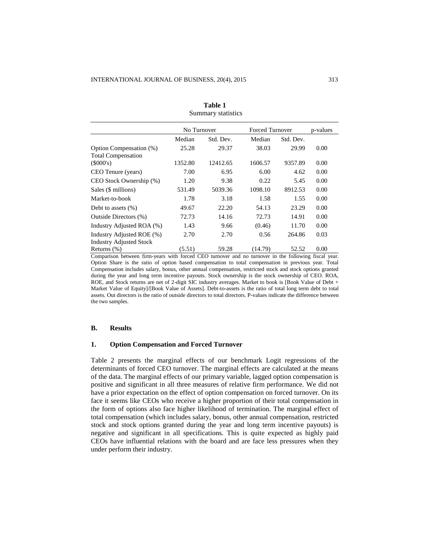| Dummary Statistics                                          |             |           |                        |           |          |
|-------------------------------------------------------------|-------------|-----------|------------------------|-----------|----------|
|                                                             | No Turnover |           | <b>Forced Turnover</b> |           | p-values |
|                                                             | Median      | Std. Dev. | Median                 | Std. Dev. |          |
| Option Compensation (%)<br><b>Total Compensation</b>        | 25.28       | 29.37     | 38.03                  | 29.99     | 0.00     |
| $(\$000's)$                                                 | 1352.80     | 12412.65  | 1606.57                | 9357.89   | 0.00     |
| CEO Tenure (years)                                          | 7.00        | 6.95      | 6.00                   | 4.62      | 0.00     |
| CEO Stock Ownership (%)                                     | 1.20        | 9.38      | 0.22                   | 5.45      | 0.00     |
| Sales (\$ millions)                                         | 531.49      | 5039.36   | 1098.10                | 8912.53   | 0.00     |
| Market-to-book                                              | 1.78        | 3.18      | 1.58                   | 1.55      | 0.00     |
| Debt to assets $(\%)$                                       | 49.67       | 22.20     | 54.13                  | 23.29     | 0.00     |
| Outside Directors (%)                                       | 72.73       | 14.16     | 72.73                  | 14.91     | 0.00     |
| Industry Adjusted ROA (%)                                   | 1.43        | 9.66      | (0.46)                 | 11.70     | 0.00     |
| Industry Adjusted ROE (%)<br><b>Industry Adjusted Stock</b> | 2.70        | 2.70      | 0.56                   | 264.86    | 0.03     |
| Returns (%)                                                 | (5.51)      | 59.28     | (14.79)                | 52.52     | 0.00     |

**Table 1** Summary statistics

Comparison between firm-years with forced CEO turnover and no turnover in the following fiscal year. Option Share is the ratio of option based compensation to total compensation in previous year. Total Compensation includes salary, bonus, other annual compensation, restricted stock and stock options granted during the year and long term incentive payouts. Stock ownership is the stock ownership of CEO. ROA, ROE, and Stock returns are net of 2-digit SIC industry averages. Market to book is [Book Value of Debt + Market Value of Equity]/[Book Value of Assets]. Debt-to-assets is the ratio of total long term debt to total assets. Out directors is the ratio of outside directors to total directors. P-values indicate the difference between the two samples.

# **B. Results**

## **1. Option Compensation and Forced Turnover**

Table 2 presents the marginal effects of our benchmark Logit regressions of the determinants of forced CEO turnover. The marginal effects are calculated at the means of the data. The marginal effects of our primary variable, lagged option compensation is positive and significant in all three measures of relative firm performance. We did not have a prior expectation on the effect of option compensation on forced turnover. On its face it seems like CEOs who receive a higher proportion of their total compensation in the form of options also face higher likelihood of termination. The marginal effect of total compensation (which includes salary, bonus, other annual compensation, restricted stock and stock options granted during the year and long term incentive payouts) is negative and significant in all specifications. This is quite expected as highly paid CEOs have influential relations with the board and are face less pressures when they under perform their industry.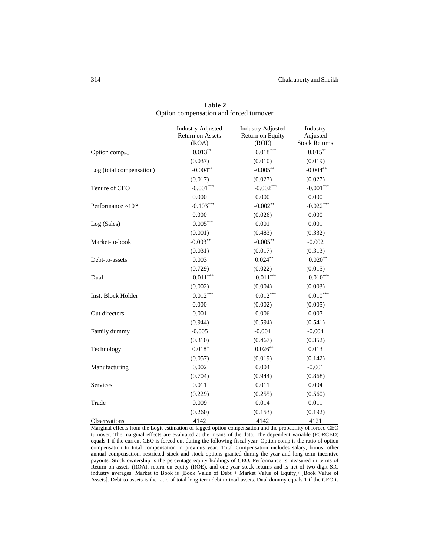|                              | <b>Industry Adjusted</b> | <b>Industry Adjusted</b> | Industry             |
|------------------------------|--------------------------|--------------------------|----------------------|
|                              | Return on Assets         | Return on Equity         | Adjusted             |
|                              | (ROA)                    | (ROE)                    | <b>Stock Returns</b> |
| Option compt-1               | $0.013**$                | $0.018***$               | $0.015***$           |
|                              | (0.037)                  | (0.010)                  | (0.019)              |
| Log (total compensation)     | $-0.004**$               | $-0.005***$              | $-0.004**$           |
|                              | (0.017)                  | (0.027)                  | (0.027)              |
| Tenure of CEO                | $-0.001***$              | $-0.002***$              | $-0.001***$          |
|                              | 0.000                    | 0.000                    | 0.000                |
| Performance $\times 10^{-2}$ | $-0.103***$              | $-0.002**$               | $-0.022***$          |
|                              | 0.000                    | (0.026)                  | 0.000                |
| Log (Sales)                  | $0.005***$               | 0.001                    | 0.001                |
|                              | (0.001)                  | (0.483)                  | (0.332)              |
| Market-to-book               | $-0.003**$               | $-0.005***$              | $-0.002$             |
|                              | (0.031)                  | (0.017)                  | (0.313)              |
| Debt-to-assets               | 0.003                    | $0.024***$               | $0.020**$            |
|                              | (0.729)                  | (0.022)                  | (0.015)              |
| Dual                         | $-0.011***$              | $-0.011***$              | $-0.010***$          |
|                              | (0.002)                  | (0.004)                  | (0.003)              |
| Inst. Block Holder           | $0.012***$               | $0.012***$               | $0.010***$           |
|                              | 0.000                    | (0.002)                  | (0.005)              |
| Out directors                | 0.001                    | 0.006                    | 0.007                |
|                              | (0.944)                  | (0.594)                  | (0.541)              |
| Family dummy                 | $-0.005$                 | $-0.004$                 | $-0.004$             |
|                              | (0.310)                  | (0.467)                  | (0.352)              |
| Technology                   | $0.018*$                 | $0.026***$               | 0.013                |
|                              | (0.057)                  | (0.019)                  | (0.142)              |
| Manufacturing                | 0.002                    | 0.004                    | $-0.001$             |
|                              | (0.704)                  | (0.944)                  | (0.868)              |
| Services                     | 0.011                    | 0.011                    | 0.004                |
|                              | (0.229)                  | (0.255)                  | (0.560)              |
| Trade                        | 0.009                    | 0.014                    | 0.011                |
|                              | (0.260)                  | (0.153)                  | (0.192)              |
| Observations                 | 4142                     | 4142                     | 4121                 |

**Table 2** Option compensation and forced turnover

Marginal effects from the Logit estimation of lagged option compensation and the probability of forced CEO turnover. The marginal effects are evaluated at the means of the data. The dependent variable (FORCED) equals 1 if the current CEO is forced out during the following fiscal year. Option comp is the ratio of option compensation to total compensation in previous year. Total Compensation includes salary, bonus, other annual compensation, restricted stock and stock options granted during the year and long term incentive payouts. Stock ownership is the percentage equity holdings of CEO. Performance is measured in terms of Return on assets (ROA), return on equity (ROE), and one-year stock returns and is net of two digit SIC industry averages. Market to Book is [Book Value of Debt + Market Value of Equity]/ [Book Value of Assets]. Debt-to-assets is the ratio of total long term debt to total assets. Dual dummy equals 1 if the CEO is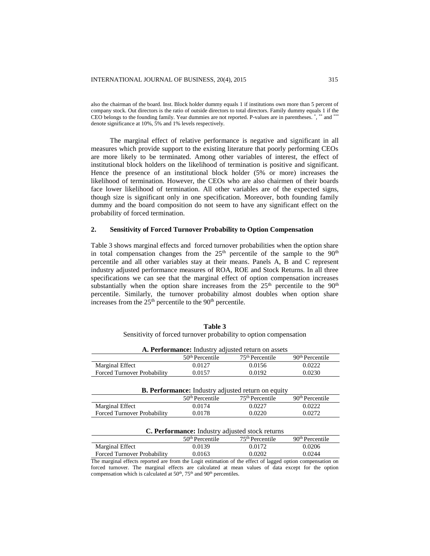also the chairman of the board. Inst. Block holder dummy equals 1 if institutions own more than 5 percent of company stock. Out directors is the ratio of outside directors to total directors. Family dummy equals 1 if the CEO belongs to the founding family. Year dummies are not reported. P-values are in parentheses. \*, \*\* and \*\*\* denote significance at 10%, 5% and 1% levels respectively.

The marginal effect of relative performance is negative and significant in all measures which provide support to the existing literature that poorly performing CEOs are more likely to be terminated. Among other variables of interest, the effect of institutional block holders on the likelihood of termination is positive and significant. Hence the presence of an institutional block holder (5% or more) increases the likelihood of termination. However, the CEOs who are also chairmen of their boards face lower likelihood of termination. All other variables are of the expected signs, though size is significant only in one specification. Moreover, both founding family dummy and the board composition do not seem to have any significant effect on the probability of forced termination.

## **2. Sensitivity of Forced Turnover Probability to Option Compensation**

Table 3 shows marginal effects and forced turnover probabilities when the option share in total compensation changes from the  $25<sup>th</sup>$  percentile of the sample to the  $90<sup>th</sup>$ percentile and all other variables stay at their means. Panels A, B and C represent industry adjusted performance measures of ROA, ROE and Stock Returns. In all three specifications we can see that the marginal effect of option compensation increases substantially when the option share increases from the  $25<sup>th</sup>$  percentile to the  $90<sup>th</sup>$ percentile. Similarly, the turnover probability almost doubles when option share increases from the  $25<sup>th</sup>$  percentile to the  $90<sup>th</sup>$  percentile.

|                                                                   | Table 3 |  |  |
|-------------------------------------------------------------------|---------|--|--|
| Sensitivity of forced turnover probability to option compensation |         |  |  |

|                             |                   | A. Performance: Industry adjusted return on assets |                   |
|-----------------------------|-------------------|----------------------------------------------------|-------------------|
|                             | $50th$ Percentile | 75 <sup>th</sup> Percentile                        | $90th$ Percentile |
| Marginal Effect             | 0.0127            | 0.0156                                             | 0.0222            |
| Forced Turnover Probability | 0.0157            | 0.0192                                             | 0.0230            |
|                             |                   |                                                    |                   |

| <b>B. Performance:</b> Industry adjusted return on equity |                             |                             |                             |
|-----------------------------------------------------------|-----------------------------|-----------------------------|-----------------------------|
|                                                           | 50 <sup>th</sup> Percentile | 75 <sup>th</sup> Percentile | 90 <sup>th</sup> Percentile |
| <b>Marginal Effect</b>                                    | 0.0174                      | 0.0227                      | 0.0222                      |
| Forced Turnover Probability                               | 0.0178                      | 0.0220                      | 0.02.72                     |

#### **C. Performance:** Industry adjusted stock returns

|                                                                                                            | $50th$ Percentile | $75th$ Percentile | $90th$ Percentile |
|------------------------------------------------------------------------------------------------------------|-------------------|-------------------|-------------------|
| Marginal Effect                                                                                            | 0.0139            | 0.0172            | 0.0206            |
| Forced Turnover Probability                                                                                | 0.0163            | 0.0202            | 0.0244            |
| The marginal effects reported are from the Logit estimation of the effect of lagged option compensation on |                   |                   |                   |
| forced turnover. The marginal effects are calculated at mean values of data except for the option          |                   |                   |                   |

forced turnover. The marginal effects are calculated at mean values of data except for the option compensation which is calculated at  $50<sup>th</sup>$ ,  $75<sup>th</sup>$  and  $90<sup>th</sup>$  percentiles.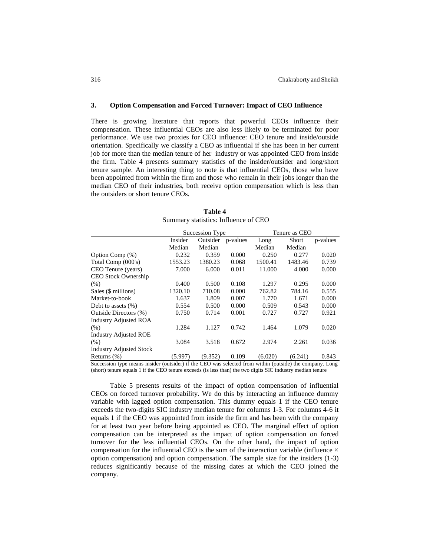## **3. Option Compensation and Forced Turnover: Impact of CEO Influence**

There is growing literature that reports that powerful CEOs influence their compensation. These influential CEOs are also less likely to be terminated for poor performance. We use two proxies for CEO influence: CEO tenure and inside/outside orientation. Specifically we classify a CEO as influential if she has been in her current job for more than the median tenure of her industry or was appointed CEO from inside the firm. Table 4 presents summary statistics of the insider/outsider and long/short tenure sample. An interesting thing to note is that influential CEOs, those who have been appointed from within the firm and those who remain in their jobs longer than the median CEO of their industries, both receive option compensation which is less than the outsiders or short tenure CEOs.

|                                |         | Succession Type |          |         | Tenure as CEO |          |
|--------------------------------|---------|-----------------|----------|---------|---------------|----------|
|                                | Insider | Outsider        | p-values | Long    | Short         | p-values |
|                                | Median  | Median          |          | Median  | Median        |          |
| Option Comp (%)                | 0.232   | 0.359           | 0.000    | 0.250   | 0.277         | 0.020    |
| Total Comp (000's)             | 1553.23 | 1380.23         | 0.068    | 1500.41 | 1483.46       | 0.739    |
| CEO Tenure (years)             | 7.000   | 6.000           | 0.011    | 11.000  | 4.000         | 0.000    |
| <b>CEO Stock Ownership</b>     |         |                 |          |         |               |          |
| (% )                           | 0.400   | 0.500           | 0.108    | 1.297   | 0.295         | 0.000    |
| Sales (\$ millions)            | 1320.10 | 710.08          | 0.000    | 762.82  | 784.16        | 0.555    |
| Market-to-book                 | 1.637   | 1.809           | 0.007    | 1.770   | 1.671         | 0.000    |
| Debt to assets $(\%)$          | 0.554   | 0.500           | 0.000    | 0.509   | 0.543         | 0.000    |
| Outside Directors (%)          | 0.750   | 0.714           | 0.001    | 0.727   | 0.727         | 0.921    |
| <b>Industry Adjusted ROA</b>   |         |                 |          |         |               |          |
| (% )                           | 1.284   | 1.127           | 0.742    | 1.464   | 1.079         | 0.020    |
| <b>Industry Adjusted ROE</b>   |         |                 |          |         |               |          |
| (% )                           | 3.084   | 3.518           | 0.672    | 2.974   | 2.261         | 0.036    |
| <b>Industry Adjusted Stock</b> |         |                 |          |         |               |          |
| Returns $(\%)$                 | (5.997) | (9.352)         | 0.109    | (6.020) | (6.241)       | 0.843    |

**Table 4** Summary statistics: Influence of CEO

Succession type means insider (outsider) if the CEO was selected from within (outside) the company. Long (short) tenure equals 1 if the CEO tenure exceeds (is less than) the two digits SIC industry median tenure

Table 5 presents results of the impact of option compensation of influential CEOs on forced turnover probability. We do this by interacting an influence dummy variable with lagged option compensation. This dummy equals 1 if the CEO tenure exceeds the two-digits SIC industry median tenure for columns 1-3. For columns 4-6 it equals 1 if the CEO was appointed from inside the firm and has been with the company for at least two year before being appointed as CEO. The marginal effect of option compensation can be interpreted as the impact of option compensation on forced turnover for the less influential CEOs. On the other hand, the impact of option compensation for the influential CEO is the sum of the interaction variable (influence  $\times$ option compensation) and option compensation. The sample size for the insiders (1-3) reduces significantly because of the missing dates at which the CEO joined the company.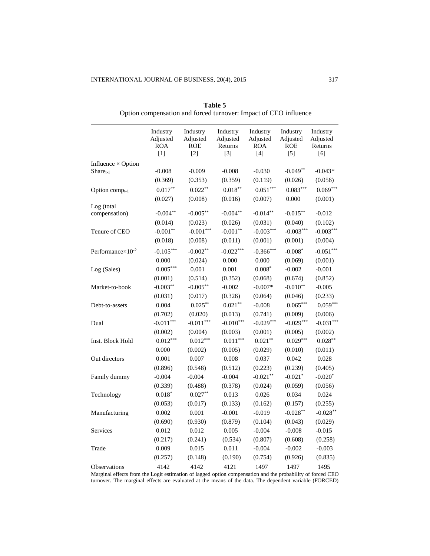|                              | Industry<br>Adjusted<br><b>ROA</b><br>$\lceil 1 \rceil$ | Industry<br>Adjusted<br><b>ROE</b><br>$[2]$ | Industry<br>Adjusted<br>Returns<br>$[3]$ | Industry<br>Adjusted<br><b>ROA</b><br>$[4]$ | Industry<br>Adjusted<br><b>ROE</b><br>$[5]$ | Industry<br>Adjusted<br>Returns<br>[6] |
|------------------------------|---------------------------------------------------------|---------------------------------------------|------------------------------------------|---------------------------------------------|---------------------------------------------|----------------------------------------|
| Influence $\times$ Option    |                                                         |                                             |                                          |                                             |                                             |                                        |
| $Share_{t-1}$                | $-0.008$                                                | $-0.009$                                    | $-0.008$                                 | $-0.030$                                    | $-0.049**$                                  | $-0.043*$                              |
|                              | (0.369)                                                 | (0.353)                                     | (0.359)                                  | (0.119)                                     | (0.026)                                     | (0.056)                                |
| Option comp <sub>t-1</sub>   | $0.017**$                                               | $0.022**$                                   | $0.018**$                                | $0.051***$                                  | $0.083***$                                  | $0.069***$                             |
|                              | (0.027)                                                 | (0.008)                                     | (0.016)                                  | (0.007)                                     | 0.000                                       | (0.001)                                |
| Log (total<br>compensation)  | $-0.004**$                                              | $-0.005***$                                 | $-0.004**$                               | $-0.014**$                                  | $-0.015**$                                  | $-0.012$                               |
|                              | (0.014)                                                 | (0.023)                                     | (0.026)                                  | (0.031)                                     | (0.040)                                     | (0.102)                                |
| Tenure of CEO                | $-0.001**$                                              | $-0.001***$                                 | $-0.001**$                               | $-0.003***$                                 | $-0.003***$                                 | $-0.003***$                            |
|                              | (0.018)                                                 | (0.008)                                     | (0.011)                                  | (0.001)                                     | (0.001)                                     | (0.004)                                |
| Performance $\times 10^{-2}$ | $-0.105***$                                             | $-0.002**$                                  | $-0.022***$                              | $-0.366***$                                 | $-0.008*$                                   | $-0.051***$                            |
|                              | 0.000                                                   | (0.024)                                     | 0.000                                    | 0.000                                       | (0.069)                                     | (0.001)                                |
| Log (Sales)                  | $0.005***$                                              | 0.001                                       | 0.001                                    | $0.008*$                                    | $-0.002$                                    | $-0.001$                               |
|                              | (0.001)                                                 | (0.514)                                     | (0.352)                                  | (0.068)                                     | (0.674)                                     | (0.852)                                |
| Market-to-book               | $-0.003**$                                              | $-0.005***$                                 | $-0.002$                                 | $-0.007*$                                   | $-0.010**$                                  | $-0.005$                               |
|                              | (0.031)                                                 | (0.017)                                     | (0.326)                                  | (0.064)                                     | (0.046)                                     | (0.233)                                |
| Debt-to-assets               | 0.004                                                   | $0.025***$                                  | $0.021**$                                | $-0.008$                                    | $0.065***$                                  | $0.059***$                             |
|                              | (0.702)                                                 | (0.020)                                     | (0.013)                                  | (0.741)                                     | (0.009)                                     | (0.006)                                |
| Dual                         | $-0.011***$                                             | $-0.011***$                                 | $-0.010***$                              | $-0.029***$                                 | $-0.029***$                                 | $-0.031***$                            |
|                              | (0.002)                                                 | (0.004)                                     | (0.003)                                  | (0.001)                                     | (0.005)                                     | (0.002)                                |
| Inst. Block Hold             | $0.012***$                                              | $0.012***$                                  | $0.011***$                               | $0.021***$                                  | $0.029***$                                  | $0.028***$                             |
|                              | 0.000                                                   | (0.002)                                     | (0.005)                                  | (0.029)                                     | (0.010)                                     | (0.011)                                |
| Out directors                | 0.001                                                   | 0.007                                       | 0.008                                    | 0.037                                       | 0.042                                       | 0.028                                  |
|                              | (0.896)                                                 | (0.548)                                     | (0.512)                                  | (0.223)                                     | (0.239)                                     | (0.405)                                |
| Family dummy                 | $-0.004$                                                | $-0.004$                                    | $-0.004$                                 | $-0.021**$                                  | $-0.021*$                                   | $-0.020*$                              |
|                              | (0.339)                                                 | (0.488)                                     | (0.378)                                  | (0.024)                                     | (0.059)                                     | (0.056)                                |
| Technology                   | $0.018*$                                                | $0.027**$                                   | 0.013                                    | 0.026                                       | 0.034                                       | 0.024                                  |
|                              | (0.053)                                                 | (0.017)                                     | (0.133)                                  | (0.162)                                     | (0.157)                                     | (0.255)                                |
| Manufacturing                | 0.002                                                   | 0.001                                       | $-0.001$                                 | $-0.019$                                    | $-0.028**$                                  | $-0.028**$                             |
|                              | (0.690)                                                 | (0.930)                                     | (0.879)                                  | (0.104)                                     | (0.043)                                     | (0.029)                                |
| Services                     | 0.012                                                   | 0.012                                       | 0.005                                    | $-0.004$                                    | $-0.008$                                    | $-0.015$                               |
|                              | (0.217)                                                 | (0.241)                                     | (0.534)                                  | (0.807)                                     | (0.608)                                     | (0.258)                                |
| Trade                        | 0.009                                                   | 0.015                                       | 0.011                                    | $-0.004$                                    | $-0.002$                                    | $-0.003$                               |
|                              | (0.257)                                                 | (0.148)                                     | (0.190)                                  | (0.754)                                     | (0.926)                                     | (0.835)                                |
| Observations                 | 4142                                                    | 4142                                        | 4121                                     | 1497                                        | 1497                                        | 1495                                   |

**Table 5** Option compensation and forced turnover: Impact of CEO influence

Marginal effects from the Logit estimation of lagged option compensation and the probability of forced CEO turnover. The marginal effects are evaluated at the means of the data. The dependent variable (FORCED)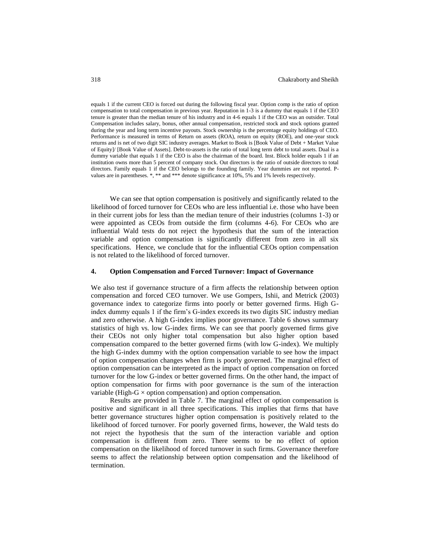equals 1 if the current CEO is forced out during the following fiscal year. Option comp is the ratio of option compensation to total compensation in previous year. Reputation in 1-3 is a dummy that equals 1 if the CEO tenure is greater than the median tenure of his industry and in 4-6 equals 1 if the CEO was an outsider. Total Compensation includes salary, bonus, other annual compensation, restricted stock and stock options granted during the year and long term incentive payouts. Stock ownership is the percentage equity holdings of CEO. Performance is measured in terms of Return on assets (ROA), return on equity (ROE), and one-year stock returns and is net of two digit SIC industry averages. Market to Book is [Book Value of Debt + Market Value of Equity]/ [Book Value of Assets]. Debt-to-assets is the ratio of total long term debt to total assets. Dual is a dummy variable that equals 1 if the CEO is also the chairman of the board. Inst. Block holder equals 1 if an institution owns more than 5 percent of company stock. Out directors is the ratio of outside directors to total directors. Family equals 1 if the CEO belongs to the founding family. Year dummies are not reported. Pvalues are in parentheses. \*, \*\* and \*\*\* denote significance at 10%, 5% and 1% levels respectively.

We can see that option compensation is positively and significantly related to the likelihood of forced turnover for CEOs who are less influential i.e. those who have been in their current jobs for less than the median tenure of their industries (columns 1-3) or were appointed as CEOs from outside the firm (columns 4-6). For CEOs who are influential Wald tests do not reject the hypothesis that the sum of the interaction variable and option compensation is significantly different from zero in all six specifications. Hence, we conclude that for the influential CEOs option compensation is not related to the likelihood of forced turnover.

# **4. Option Compensation and Forced Turnover: Impact of Governance**

We also test if governance structure of a firm affects the relationship between option compensation and forced CEO turnover. We use Gompers, Ishii, and Metrick (2003) governance index to categorize firms into poorly or better governed firms. High Gindex dummy equals 1 if the firm's G-index exceeds its two digits SIC industry median and zero otherwise. A high G-index implies poor governance. Table 6 shows summary statistics of high vs. low G-index firms. We can see that poorly governed firms give their CEOs not only higher total compensation but also higher option based compensation compared to the better governed firms (with low G-index). We multiply the high G-index dummy with the option compensation variable to see how the impact of option compensation changes when firm is poorly governed. The marginal effect of option compensation can be interpreted as the impact of option compensation on forced turnover for the low G-index or better governed firms. On the other hand, the impact of option compensation for firms with poor governance is the sum of the interaction variable (High-G  $\times$  option compensation) and option compensation.

Results are provided in Table 7. The marginal effect of option compensation is positive and significant in all three specifications. This implies that firms that have better governance structures higher option compensation is positively related to the likelihood of forced turnover. For poorly governed firms, however, the Wald tests do not reject the hypothesis that the sum of the interaction variable and option compensation is different from zero. There seems to be no effect of option compensation on the likelihood of forced turnover in such firms. Governance therefore seems to affect the relationship between option compensation and the likelihood of termination.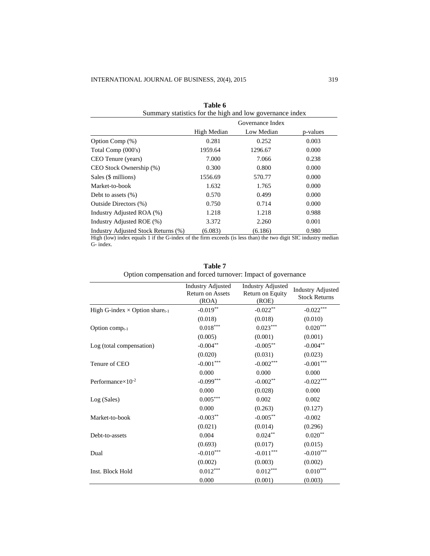| Table 6<br>Summary statistics for the high and low governance index |             |                  |          |  |
|---------------------------------------------------------------------|-------------|------------------|----------|--|
|                                                                     |             | Governance Index |          |  |
|                                                                     | High Median | Low Median       | p-values |  |
| Option Comp (%)                                                     | 0.281       | 0.252            | 0.003    |  |
| Total Comp (000's)                                                  | 1959.64     | 1296.67          | 0.000    |  |
| CEO Tenure (years)                                                  | 7.000       | 7.066            | 0.238    |  |
| CEO Stock Ownership (%)                                             | 0.300       | 0.800            | 0.000    |  |
| Sales (\$ millions)                                                 | 1556.69     | 570.77           | 0.000    |  |
| Market-to-book                                                      | 1.632       | 1.765            | 0.000    |  |
| Debt to assets $(\%)$                                               | 0.570       | 0.499            | 0.000    |  |
| Outside Directors (%)                                               | 0.750       | 0.714            | 0.000    |  |
| Industry Adjusted ROA (%)                                           | 1.218       | 1.218            | 0.988    |  |
| Industry Adjusted ROE (%)                                           | 3.372       | 2.260            | 0.001    |  |
| Industry Adjusted Stock Returns (%)                                 | (6.083)     | (6.186)          | 0.980    |  |

High (low) index equals 1 if the G-index of the firm exceeds (is less than) the two digit SIC industry median G- index.

|                                          | <b>Industry Adjusted</b><br>Return on Assets<br>(ROA) | <b>Industry Adjusted</b><br>Return on Equity<br>(ROE) | <b>Industry Adjusted</b><br><b>Stock Returns</b> |
|------------------------------------------|-------------------------------------------------------|-------------------------------------------------------|--------------------------------------------------|
| High G-index $\times$ Option share $t-1$ | $-0.019**$                                            | $-0.022**$                                            | $-0.022***$                                      |
|                                          | (0.018)                                               | (0.018)                                               | (0.010)                                          |
| Option comp $_{t-1}$                     | $0.018***$                                            | $0.023***$                                            | $0.020***$                                       |
|                                          | (0.005)                                               | (0.001)                                               | (0.001)                                          |
| Log (total compensation)                 | $-0.004**$                                            | $-0.005***$                                           | $-0.004**$                                       |
|                                          | (0.020)                                               | (0.031)                                               | (0.023)                                          |
| Tenure of CEO                            | $-0.001***$                                           | $-0.002***$                                           | $-0.001***$                                      |
|                                          | 0.000                                                 | 0.000                                                 | 0.000                                            |
| Performance $\times 10^{-2}$             | $-0.099***$                                           | $-0.002**$                                            | $-0.022***$                                      |
|                                          | 0.000                                                 | (0.028)                                               | 0.000                                            |
| Log (Sales)                              | $0.005***$                                            | 0.002                                                 | 0.002                                            |
|                                          | 0.000                                                 | (0.263)                                               | (0.127)                                          |
| Market-to-book                           | $-0.003**$                                            | $-0.005***$                                           | $-0.002$                                         |
|                                          | (0.021)                                               | (0.014)                                               | (0.296)                                          |
| Debt-to-assets                           | 0.004                                                 | $0.024***$                                            | $0.020**$                                        |
|                                          | (0.693)                                               | (0.017)                                               | (0.015)                                          |
| Dual                                     | $-0.010***$                                           | $-0.011***$                                           | $-0.010***$                                      |
|                                          | (0.002)                                               | (0.003)                                               | (0.002)                                          |
| Inst. Block Hold                         | $0.012***$                                            | $0.012***$                                            | $0.010^{\ast\ast\ast}$                           |
|                                          | 0.000                                                 | (0.001)                                               | (0.003)                                          |

| Table 7                                                       |
|---------------------------------------------------------------|
| Option compensation and forced turnover: Impact of governance |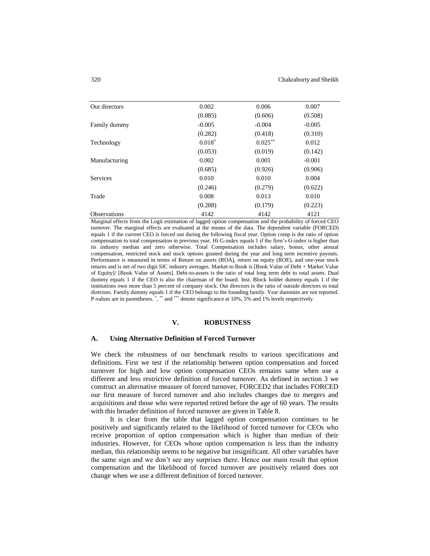| Out directors       | 0.002    | 0.006      | 0.007    |
|---------------------|----------|------------|----------|
|                     | (0.885)  | (0.606)    | (0.508)  |
| Family dummy        | $-0.005$ | $-0.004$   | $-0.005$ |
|                     | (0.282)  | (0.418)    | (0.310)  |
| Technology          | $0.018*$ | $0.025***$ | 0.012    |
|                     | (0.053)  | (0.019)    | (0.142)  |
| Manufacturing       | 0.002    | 0.001      | $-0.001$ |
|                     | (0.685)  | (0.926)    | (0.906)  |
| <b>Services</b>     | 0.010    | 0.010      | 0.004    |
|                     | (0.246)  | (0.279)    | (0.622)  |
| Trade               | 0.008    | 0.013      | 0.010    |
|                     | (0.288)  | (0.179)    | (0.223)  |
| <b>Observations</b> | 4142     | 4142       | 4121     |

Marginal effects from the Logit estimation of lagged option compensation and the probability of forced CEO turnover. The marginal effects are evaluated at the means of the data. The dependent variable (FORCED) equals 1 if the current CEO is forced out during the following fiscal year. Option comp is the ratio of option compensation to total compensation in previous year. Hi G-index equals 1 if the firm's G-index is higher than its industry median and zero otherwise. Total Compensation includes salary, bonus, other annual compensation, restricted stock and stock options granted during the year and long term incentive payouts. Performance is measured in terms of Return on assets (ROA), return on equity (ROE), and one-year stock returns and is net of two digit SIC industry averages. Market to Book is [Book Value of Debt + Market Value of Equity]/ [Book Value of Assets]. Debt-to-assets is the ratio of total long term debt to total assets. Dual dummy equals 1 if the CEO is also the chairman of the board. Inst. Block holder dummy equals 1 if the institutions own more than 5 percent of company stock. Out directors is the ratio of outside directors to total directors. Family dummy equals 1 if the CEO belongs to the founding family. Year dummies are not reported. P-values are in parentheses. \*, \*\* and \*\*\* denote significance at 10%, 5% and 1% levels respectively.

## **V. ROBUSTNESS**

#### **A. Using Alternative Definition of Forced Turnover**

We check the robustness of our benchmark results to various specifications and definitions. First we test if the relationship between option compensation and forced turnover for high and low option compensation CEOs remains same when use a different and less restrictive definition of forced turnover. As defined in section 3 we construct an alternative measure of forced turnover, FORCED2 that includes FORCED our first measure of forced turnover and also includes changes due to mergers and acquisitions and those who were reported retired before the age of 60 years. The results with this broader definition of forced turnover are given in Table 8.

It is clear from the table that lagged option compensation continues to be positively and significantly related to the likelihood of forced turnover for CEOs who receive proportion of option compensation which is higher than median of their industries. However, for CEOs whose option compensation is less than the industry median, this relationship seems to be negative but insignificant. All other variables have the same sign and we don't see any surprises there. Hence our main result that option compensation and the likelihood of forced turnover are positively related does not change when we use a different definition of forced turnover.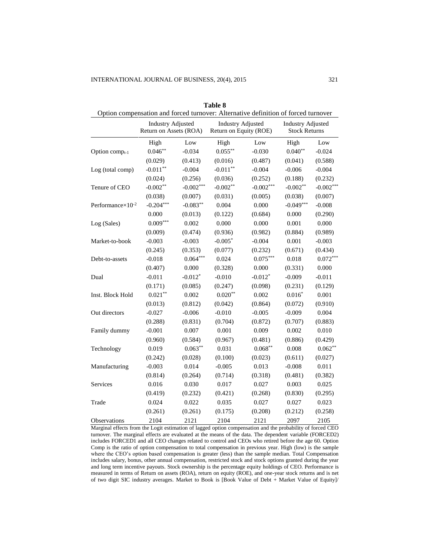| Option compensation and forced turnover: Alternative definition of forced turnover |                                                    |             |                                                    |             |                                                  |             |
|------------------------------------------------------------------------------------|----------------------------------------------------|-------------|----------------------------------------------------|-------------|--------------------------------------------------|-------------|
|                                                                                    | <b>Industry Adjusted</b><br>Return on Assets (ROA) |             | <b>Industry Adjusted</b><br>Return on Equity (ROE) |             | <b>Industry Adjusted</b><br><b>Stock Returns</b> |             |
|                                                                                    | High                                               | Low         | High                                               | Low         | High                                             | Low         |
| Option comp <sub>t-1</sub>                                                         | $0.046**$                                          | $-0.034$    | $0.055***$                                         | $-0.030$    | $0.040**$                                        | $-0.024$    |
|                                                                                    | (0.029)                                            | (0.413)     | (0.016)                                            | (0.487)     | (0.041)                                          | (0.588)     |
| Log (total comp)                                                                   | $-0.011**$                                         | $-0.004$    | $-0.011**$                                         | $-0.004$    | $-0.006$                                         | $-0.004$    |
|                                                                                    | (0.024)                                            | (0.256)     | (0.036)                                            | (0.252)     | (0.188)                                          | (0.232)     |
| Tenure of CEO                                                                      | $-0.002**$                                         | $-0.002***$ | $-0.002**$                                         | $-0.002***$ | $-0.002**$                                       | $-0.002***$ |
|                                                                                    | (0.038)                                            | (0.007)     | (0.031)                                            | (0.005)     | (0.038)                                          | (0.007)     |
| Performance $\times 10^{-2}$                                                       | $-0.204***$                                        | $-0.083**$  | 0.004                                              | 0.000       | $-0.049***$                                      | $-0.008$    |
|                                                                                    | 0.000                                              | (0.013)     | (0.122)                                            | (0.684)     | 0.000                                            | (0.290)     |
| Log (Sales)                                                                        | $0.009***$                                         | 0.002       | 0.000                                              | 0.000       | 0.001                                            | 0.000       |
|                                                                                    | (0.009)                                            | (0.474)     | (0.936)                                            | (0.982)     | (0.884)                                          | (0.989)     |
| Market-to-book                                                                     | $-0.003$                                           | $-0.003$    | $-0.005*$                                          | $-0.004$    | 0.001                                            | $-0.003$    |
|                                                                                    | (0.245)                                            | (0.353)     | (0.077)                                            | (0.232)     | (0.671)                                          | (0.434)     |
| Debt-to-assets                                                                     | $-0.018$                                           | $0.064***$  | 0.024                                              | $0.075***$  | 0.018                                            | $0.072***$  |
|                                                                                    | (0.407)                                            | 0.000       | (0.328)                                            | 0.000       | (0.331)                                          | 0.000       |
| Dual                                                                               | $-0.011$                                           | $-0.012*$   | $-0.010$                                           | $-0.012*$   | $-0.009$                                         | $-0.011$    |
|                                                                                    | (0.171)                                            | (0.085)     | (0.247)                                            | (0.098)     | (0.231)                                          | (0.129)     |
| Inst. Block Hold                                                                   | $0.021**$                                          | 0.002       | $0.020**$                                          | 0.002       | $0.016*$                                         | 0.001       |
|                                                                                    | (0.013)                                            | (0.812)     | (0.042)                                            | (0.864)     | (0.072)                                          | (0.910)     |
| Out directors                                                                      | $-0.027$                                           | $-0.006$    | $-0.010$                                           | $-0.005$    | $-0.009$                                         | 0.004       |
|                                                                                    | (0.288)                                            | (0.831)     | (0.704)                                            | (0.872)     | (0.707)                                          | (0.883)     |
| Family dummy                                                                       | $-0.001$                                           | 0.007       | 0.001                                              | 0.009       | 0.002                                            | 0.010       |
|                                                                                    | (0.960)                                            | (0.584)     | (0.967)                                            | (0.481)     | (0.886)                                          | (0.429)     |
| Technology                                                                         | 0.019                                              | $0.063**$   | 0.031                                              | $0.068**$   | 0.008                                            | $0.062**$   |
|                                                                                    | (0.242)                                            | (0.028)     | (0.100)                                            | (0.023)     | (0.611)                                          | (0.027)     |
| Manufacturing                                                                      | $-0.003$                                           | 0.014       | $-0.005$                                           | 0.013       | $-0.008$                                         | 0.011       |
|                                                                                    | (0.814)                                            | (0.264)     | (0.714)                                            | (0.318)     | (0.481)                                          | (0.382)     |
| <b>Services</b>                                                                    | 0.016                                              | 0.030       | 0.017                                              | 0.027       | 0.003                                            | 0.025       |
|                                                                                    | (0.419)                                            | (0.232)     | (0.421)                                            | (0.268)     | (0.830)                                          | (0.295)     |
| Trade                                                                              | 0.024                                              | 0.022       | 0.035                                              | 0.027       | 0.027                                            | 0.023       |
|                                                                                    | (0.261)                                            | (0.261)     | (0.175)                                            | (0.208)     | (0.212)                                          | (0.258)     |
| Observations                                                                       | 2104                                               | 2121        | 2104                                               | 2121        | 2097                                             | 2105        |

**Table 8**

Marginal effects from the Logit estimation of lagged option compensation and the probability of forced CEO turnover. The marginal effects are evaluated at the means of the data. The dependent variable (FORCED2) includes FORCED1 and all CEO changes related to control and CEOs who retired before the age 60. Option Comp is the ratio of option compensation to total compensation in previous year. High (low) is the sample where the CEO's option based compensation is greater (less) than the sample median. Total Compensation includes salary, bonus, other annual compensation, restricted stock and stock options granted during the year and long term incentive payouts. Stock ownership is the percentage equity holdings of CEO. Performance is measured in terms of Return on assets (ROA), return on equity (ROE), and one-year stock returns and is net of two digit SIC industry averages. Market to Book is [Book Value of Debt + Market Value of Equity]/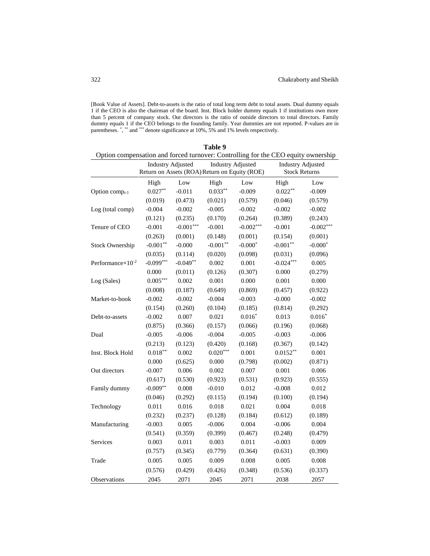[Book Value of Assets]. Debt-to-assets is the ratio of total long term debt to total assets. Dual dummy equals 1 if the CEO is also the chairman of the board. Inst. Block holder dummy equals 1 if institutions own more than 5 percent of company stock. Out directors is the ratio of outside directors to total directors. Family dummy equals 1 if the CEO belongs to the founding family. Year dummies are not reported. P-values are in parentheses. \*, \*\* and \*\*\* denote significance at 10%, 5% and 1% levels respectively.

| Table 9                                                                           |                                                                           |             |            |                          |             |                          |  |  |  |  |
|-----------------------------------------------------------------------------------|---------------------------------------------------------------------------|-------------|------------|--------------------------|-------------|--------------------------|--|--|--|--|
| Option compensation and forced turnover: Controlling for the CEO equity ownership |                                                                           |             |            |                          |             |                          |  |  |  |  |
|                                                                                   | <b>Industry Adjusted</b><br>Return on Assets (ROA) Return on Equity (ROE) |             |            | <b>Industry Adjusted</b> |             | <b>Industry Adjusted</b> |  |  |  |  |
|                                                                                   |                                                                           |             |            | <b>Stock Returns</b>     |             |                          |  |  |  |  |
|                                                                                   | High                                                                      | Low         | High       | Low                      | High        | Low                      |  |  |  |  |
| Option comp <sub>t-1</sub>                                                        | $0.027**$                                                                 | $-0.011$    | $0.033**$  | $-0.009$                 | $0.022**$   | $-0.009$                 |  |  |  |  |
|                                                                                   | (0.019)                                                                   | (0.473)     | (0.021)    | (0.579)                  | (0.046)     | (0.579)                  |  |  |  |  |
| Log (total comp)                                                                  | $-0.004$                                                                  | $-0.002$    | $-0.005$   | $-0.002$                 | $-0.002$    | $-0.002$                 |  |  |  |  |
|                                                                                   | (0.121)                                                                   | (0.235)     | (0.170)    | (0.264)                  | (0.389)     | (0.243)                  |  |  |  |  |
| Tenure of CEO                                                                     | $-0.001$                                                                  | $-0.001***$ | $-0.001$   | $-0.002***$              | $-0.001$    | $-0.002***$              |  |  |  |  |
|                                                                                   | (0.263)                                                                   | (0.001)     | (0.148)    | (0.001)                  | (0.154)     | (0.001)                  |  |  |  |  |
| <b>Stock Ownership</b>                                                            | $-0.001**$                                                                | $-0.000$    | $-0.001**$ | $-0.000*$                | $-0.001**$  | $-0.000*$                |  |  |  |  |
|                                                                                   | (0.035)                                                                   | (0.114)     | (0.020)    | (0.098)                  | (0.031)     | (0.096)                  |  |  |  |  |
| Performance $\times 10^{-2}$                                                      | $-0.099***$                                                               | $-0.049**$  | 0.002      | 0.001                    | $-0.024***$ | 0.005                    |  |  |  |  |
|                                                                                   | 0.000                                                                     | (0.011)     | (0.126)    | (0.307)                  | 0.000       | (0.279)                  |  |  |  |  |
| Log (Sales)                                                                       | $0.005***$                                                                | 0.002       | 0.001      | 0.000                    | 0.001       | 0.000                    |  |  |  |  |
|                                                                                   | (0.008)                                                                   | (0.187)     | (0.649)    | (0.869)                  | (0.457)     | (0.922)                  |  |  |  |  |
| Market-to-book                                                                    | $-0.002$                                                                  | $-0.002$    | $-0.004$   | $-0.003$                 | $-0.000$    | $-0.002$                 |  |  |  |  |
|                                                                                   | (0.154)                                                                   | (0.260)     | (0.104)    | (0.185)                  | (0.814)     | (0.292)                  |  |  |  |  |
| Debt-to-assets                                                                    | $-0.002$                                                                  | 0.007       | 0.021      | $0.016*$                 | 0.013       | $0.016*$                 |  |  |  |  |
|                                                                                   | (0.875)                                                                   | (0.366)     | (0.157)    | (0.066)                  | (0.196)     | (0.068)                  |  |  |  |  |
| Dual                                                                              | $-0.005$                                                                  | $-0.006$    | $-0.004$   | $-0.005$                 | $-0.003$    | $-0.006$                 |  |  |  |  |
|                                                                                   | (0.213)                                                                   | (0.123)     | (0.420)    | (0.168)                  | (0.367)     | (0.142)                  |  |  |  |  |
| Inst. Block Hold                                                                  | $0.018***$                                                                | 0.002       | $0.020***$ | 0.001                    | $0.0152**$  | 0.001                    |  |  |  |  |
|                                                                                   | 0.000                                                                     | (0.625)     | 0.000      | (0.798)                  | (0.002)     | (0.871)                  |  |  |  |  |
| Out directors                                                                     | $-0.007$                                                                  | 0.006       | 0.002      | 0.007                    | 0.001       | 0.006                    |  |  |  |  |
|                                                                                   | (0.617)                                                                   | (0.530)     | (0.923)    | (0.531)                  | (0.923)     | (0.555)                  |  |  |  |  |
| Family dummy                                                                      | $-0.009**$                                                                | 0.008       | $-0.010$   | 0.012                    | $-0.008$    | 0.012                    |  |  |  |  |
|                                                                                   | (0.046)                                                                   | (0.292)     | (0.115)    | (0.194)                  | (0.100)     | (0.194)                  |  |  |  |  |
| Technology                                                                        | 0.011                                                                     | 0.016       | 0.018      | 0.021                    | 0.004       | 0.018                    |  |  |  |  |
|                                                                                   | (0.232)                                                                   | (0.237)     | (0.128)    | (0.184)                  | (0.612)     | (0.189)                  |  |  |  |  |
| Manufacturing                                                                     | $-0.003$                                                                  | 0.005       | $-0.006$   | 0.004                    | $-0.006$    | 0.004                    |  |  |  |  |
|                                                                                   | (0.541)                                                                   | (0.359)     | (0.399)    | (0.467)                  | (0.248)     | (0.479)                  |  |  |  |  |
| <b>Services</b>                                                                   | 0.003                                                                     | 0.011       | 0.003      | 0.011                    | $-0.003$    | 0.009                    |  |  |  |  |
|                                                                                   | (0.757)                                                                   | (0.345)     | (0.779)    | (0.364)                  | (0.631)     | (0.390)                  |  |  |  |  |
| Trade                                                                             | 0.005                                                                     | 0.005       | 0.009      | 0.008                    | 0.005       | 0.008                    |  |  |  |  |
|                                                                                   | (0.576)                                                                   | (0.429)     | (0.426)    | (0.348)                  | (0.536)     | (0.337)                  |  |  |  |  |
| Observations                                                                      | 2045                                                                      | 2071        | 2045       | 2071                     | 2038        | 2057                     |  |  |  |  |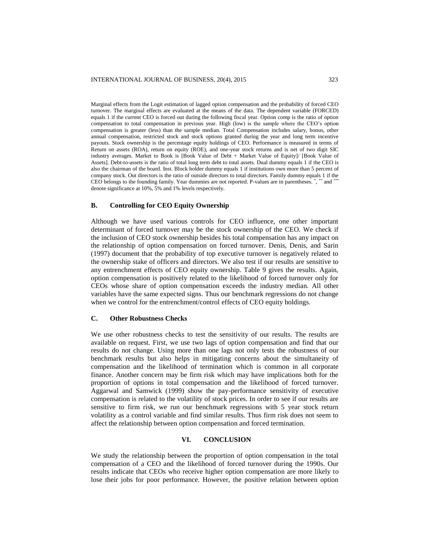Marginal effects from the Logit estimation of lagged option compensation and the probability of forced CEO turnover. The marginal effects are evaluated at the means of the data. The dependent variable (FORCED) equals 1 if the current CEO is forced out during the following fiscal year. Option comp is the ratio of option compensation to total compensation in previous year. High (low) is the sample where the CEO's option compensation is greater (less) than the sample median. Total Compensation includes salary, bonus, other annual compensation, restricted stock and stock options granted during the year and long term incentive payouts. Stock ownership is the percentage equity holdings of CEO. Performance is measured in terms of Return on assets (ROA), return on equity (ROE), and one-year stock returns and is net of two digit SIC industry averages. Market to Book is [Book Value of Debt + Market Value of Equity]/ [Book Value of Assets]. Debt-to-assets is the ratio of total long term debt to total assets. Dual dummy equals 1 if the CEO is also the chairman of the board. Inst. Block holder dummy equals 1 if institutions own more than 5 percent of company stock. Out directors is the ratio of outside directors to total directors. Family dummy equals 1 if the CEO belongs to the founding family. Year dummies are not reported. P-values are in parentheses. \*, \*\*\* and \*\*\* denote significance at 10%, 5% and 1% levels respectively.

## **B. Controlling for CEO Equity Ownership**

Although we have used various controls for CEO influence, one other important determinant of forced turnover may be the stock ownership of the CEO. We check if the inclusion of CEO stock ownership besides his total compensation has any impact on the relationship of option compensation on forced turnover. Denis, Denis, and Sarin (1997) document that the probability of top executive turnover is negatively related to the ownership stake of officers and directors. We also test if our results are sensitive to any entrenchment effects of CEO equity ownership. Table 9 gives the results. Again, option compensation is positively related to the likelihood of forced turnover only for CEOs whose share of option compensation exceeds the industry median. All other variables have the same expected signs. Thus our benchmark regressions do not change when we control for the entrenchment/control effects of CEO equity holdings.

# **C. Other Robustness Checks**

We use other robustness checks to test the sensitivity of our results. The results are available on request. First, we use two lags of option compensation and find that our results do not change. Using more than one lags not only tests the robustness of our benchmark results but also helps in mitigating concerns about the simultaneity of compensation and the likelihood of termination which is common in all corporate finance. Another concern may be firm risk which may have implications both for the proportion of options in total compensation and the likelihood of forced turnover. Aggarwal and Samwick (1999) show the pay-performance sensitivity of executive compensation is related to the volatility of stock prices. In order to see if our results are sensitive to firm risk, we run our benchmark regressions with 5 year stock return volatility as a control variable and find similar results. Thus firm risk does not seem to affect the relationship between option compensation and forced termination.

# **VI. CONCLUSION**

We study the relationship between the proportion of option compensation in the total compensation of a CEO and the likelihood of forced turnover during the 1990s. Our results indicate that CEOs who receive higher option compensation are more likely to lose their jobs for poor performance. However, the positive relation between option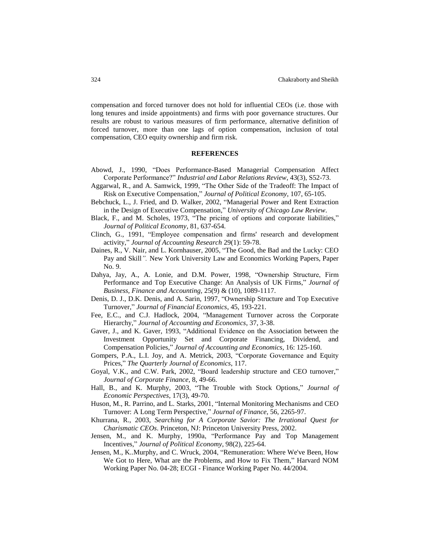compensation and forced turnover does not hold for influential CEOs (i.e. those with long tenures and inside appointments) and firms with poor governance structures. Our results are robust to various measures of firm performance, alternative definition of forced turnover, more than one lags of option compensation, inclusion of total compensation, CEO equity ownership and firm risk.

## **REFERENCES**

- Abowd, J., 1990, "Does Performance-Based Managerial Compensation Affect Corporate Performance?" *Industrial and Labor Relations Review*, 43(3), S52-73.
- Aggarwal, R., and A. Samwick, 1999, "The Other Side of the Tradeoff: The Impact of Risk on Executive Compensation," *Journal of Political Economy*, 107, 65-105.
- Bebchuck, L., J. Fried, and D. Walker, 2002, "Managerial Power and Rent Extraction in the Design of Executive Compensation," *University of Chicago Law Review*.
- Black, F., and M. Scholes, 1973, "The pricing of options and corporate liabilities," *Journal of Political Economy*, 81, 637-654.
- Clinch, G., 1991, "Employee compensation and firms' research and development activity," *Journal of Accounting Research* 29(1): 59-78.
- Daines, R., V. Nair, and L. Kornhauser, 2005, "The Good, the Bad and the Lucky: CEO Pay and Skill*".* New York University Law and Economics Working Papers, Paper No. 9.
- Dahya, Jay, A., A. Lonie, and D.M. Power, 1998, "Ownership Structure, Firm Performance and Top Executive Change: An Analysis of UK Firms," *Journal of Business, Finance and Accounting,* 25(9) & (10), 1089-1117.
- Denis, D. J., D.K. Denis, and A. Sarin, 1997, "Ownership Structure and Top Executive Turnover," *Journal of Financial Economics*, 45, 193-221.
- Fee, E.C., and C.J. Hadlock, 2004, "Management Turnover across the Corporate Hierarchy," *Journal of Accounting and Economics*, 37, 3-38.
- Gaver, J., and K. Gaver, 1993, "Additional Evidence on the Association between the Investment Opportunity Set and Corporate Financing, Dividend, and Compensation Policies," *Journal of Accounting and Economics,* 16: 125-160.
- Gompers, P.A., L.I. Joy, and A. Metrick, 2003, "Corporate Governance and Equity Prices," *The Quarterly Journal of Economics*, 117.
- Goyal, V.K., and C.W. Park, 2002, "Board leadership structure and CEO turnover," *Journal of Corporate Finance*, 8, 49-66.
- Hall, B., and K. Murphy, 2003, "The Trouble with Stock Options," *Journal of Economic Perspectives*, 17(3), 49-70.
- Huson, M., R. Parrino, and L. Starks, 2001, "Internal Monitoring Mechanisms and CEO Turnover: A Long Term Perspective," *Journal of Finance*, 56, 2265-97.
- Khurrana, R., 2003, *Searching for A Corporate Savior: The Irrational Quest for Charismatic CEOs*. Princeton, NJ: Princeton University Press, 2002.
- Jensen, M., and K. Murphy, 1990a, "Performance Pay and Top Management Incentives," *Journal of Political Economy*, 98(2), 225-64.
- Jensen, M., K..Murphy, and C. Wruck, 2004, "Remuneration: Where We've Been, How We Got to Here, What are the Problems, and How to Fix Them," Harvard NOM Working Paper No. 04-28; ECGI - Finance Working Paper No. 44/2004.